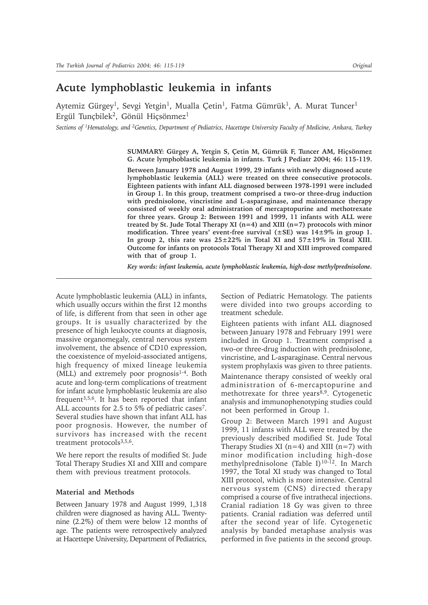# **Acute lymphoblastic leukemia in infants**

Aytemiz Gürgey<sup>1</sup>, Sevgi Yetgin<sup>1</sup>, Mualla Çetin<sup>1</sup>, Fatma Gümrük<sup>1</sup>, A. Murat Tuncer<sup>1</sup> Ergül Tunçbilek<sup>2</sup>, Gönül Hiçsönmez<sup>1</sup>

*Sections of 1Hematology, and 2Genetics, Department of Pediatrics, Hacettepe University Faculty of Medicine, Ankara, Turkey*

**SUMMARY: Gürgey A, Yetgin S, Çetin M, Gümrük F, Tuncer AM, Hiçsönmez G. Acute lymphoblastic leukemia in infants. Turk J Pediatr 2004; 46: 115-119.**

**Between January 1978 and August 1999, 29 infants with newly diagnosed acute lymphoblastic leukemia (ALL) were treated on three consecutive protocols. Eighteen patients with infant ALL diagnosed between 1978-1991 were included in Group 1. In this group, treatment comprised a two-or three-drug induction with prednisolone, vincristine and L-asparaginase, and maintenance therapy consisted of weekly oral administration of mercaptopurine and methotrexate for three years. Group 2: Between 1991 and 1999, 11 infants with ALL were treated by St. Jude Total Therapy XI (n=4) and XIII (n=7) protocols with minor modification. Three years' event-free survival (±SE) was 14±9% in group 1. In group 2, this rate was 25±22% in Total XI and 57±19% in Total XIII. Outcome for infants on protocols Total Therapy XI and XIII improved compared with that of group 1.**

*Key words: infant leukemia, acute lymphoblastic leukemia, high-dose methylprednisolone.*

Acute lymphoblastic leukemia (ALL) in infants, which usually occurs within the first 12 months of life, is different from that seen in other age groups. It is usually characterized by the presence of high leukocyte counts at diagnosis, massive organomegaly, central nervous system involvement, the absence of CD10 expression, the coexistence of myeloid-associated antigens, high frequency of mixed lineage leukemia  $(MLL)$  and extremely poor prognosis<sup>1-4</sup>. Both acute and long-term complications of treatment for infant acute lymphoblastic leukemia are also frequent3,5,6. It has been reported that infant ALL accounts for 2.5 to 5% of pediatric cases<sup>7</sup>. Several studies have shown that infant ALL has poor prognosis. However, the number of survivors has increased with the recent treatment protocols<sup>3,5,6</sup>.

We here report the results of modified St. Jude Total Therapy Studies XI and XIII and compare them with previous treatment protocols.

# **Material and Methods**

Between January 1978 and August 1999, 1,318 children were diagnosed as having ALL. Twentynine (2.2%) of them were below 12 months of age. The patients were retrospectively analyzed at Hacettepe University, Department of Pediatrics,

Section of Pediatric Hematology. The patients were divided into two groups according to treatment schedule.

Eighteen patients with infant ALL diagnosed between January 1978 and February 1991 were included in Group 1. Treatment comprised a two-or three-drug induction with prednisolone, vincristine, and L-asparaginase. Central nervous system prophylaxis was given to three patients.

Maintenance therapy consisted of weekly oral administration of 6-mercaptopurine and methotrexate for three years $8,9$ . Cytogenetic analysis and immunophenotyping studies could not been performed in Group 1.

Group 2: Between March 1991 and August 1999, 11 infants with ALL were treated by the previously described modified St. Jude Total Therapy Studies XI ( $n=4$ ) and XIII ( $n=7$ ) with minor modification including high-dose methylprednisolone (Table I)<sup>10-12</sup>. In March 1997, the Total XI study was changed to Total XIII protocol, which is more intensive. Central nervous system (CNS) directed therapy comprised a course of five intrathecal injections. Cranial radiation 18 Gy was given to three patients. Cranial radiation was deferred until after the second year of life. Cytogenetic analysis by banded metaphase analysis was performed in five patients in the second group.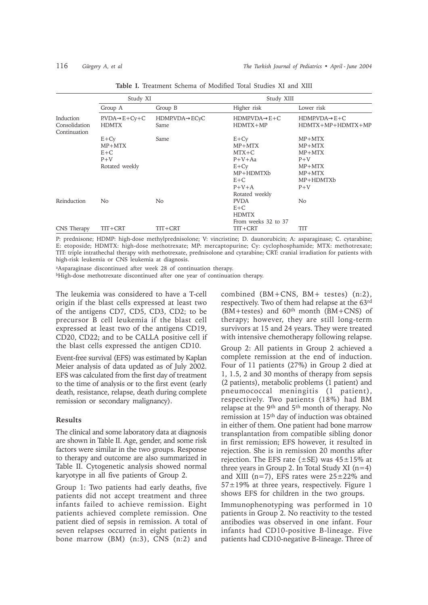|                                            | Study XI                                               |                        | Study XIII                                                                           |                                                                                     |
|--------------------------------------------|--------------------------------------------------------|------------------------|--------------------------------------------------------------------------------------|-------------------------------------------------------------------------------------|
|                                            | Group A                                                | Group B                | Higher risk                                                                          | Lower risk                                                                          |
| Induction<br>Consolidation<br>Continuation | $PVDA \rightarrow E + Cy + C$<br><b>HDMTX</b>          | HDMP.VDA->ECyC<br>Same | $HDMPVDA \rightarrow E+C$<br>$HDMTX+MP$                                              | $HDMPVDA \rightarrow E+C$<br>HDMTX+MP+HDMTX+MP                                      |
|                                            | $E+Cy$<br>MP+MTX<br>$E + C$<br>$P+V$<br>Rotated weekly | Same                   | $E+Cy$<br>$MP+MTX$<br>$MTX+C$<br>$P+V+Aa$<br>$E+CV$<br>MP+HDMTXb<br>$E+C$<br>$P+V+A$ | MP+MTX<br>MP+MTX<br>$MP+MTX$<br>$P+V$<br>$MP+MTX$<br>$MP+MTX$<br>MP+HDMTXb<br>$P+V$ |
| Reinduction                                | No                                                     | No                     | Rotated weekly<br><b>PVDA</b><br>$E+C$<br><b>HDMTX</b>                               | No                                                                                  |
| CNS Therapy                                | TIT+CRT                                                | TIT+CRT                | From weeks 32 to 37<br>TIT+CRT                                                       | <b>TIT</b>                                                                          |

**Table I.** Treatment Schema of Modified Total Studies XI and XIII

P: prednisone; HDMP: high-dose methylprednisolone; V: vincristine; D. daunorubicin; A: asparaginase; C. cytarabine; E: etoposide; HDMTX: high-dose methotrexate; MP: mercaptopurine; Cy: cyclophosphamide; MTX: methotrexate; TIT: triple intrathechal therapy with methotrexate, prednisolone and cytarabine; CRT: cranial irradiation for patients with high-risk leukemia or CNS leukemia at diagnosis.

aAsparaginase discontinued after week 28 of continuation therapy.

bHigh-dose methotrexate discontinued after one year of continuation therapy.

The leukemia was considered to have a T-cell origin if the blast cells expressed at least two of the antigens CD7, CD5, CD3, CD2; to be precursor B cell leukemia if the blast cell expressed at least two of the antigens CD19, CD20, CD22; and to be CALLA positive cell if the blast cells expressed the antigen CD10.

Event-free survival (EFS) was estimated by Kaplan Meier analysis of data updated as of July 2002. EFS was calculated from the first day of treatment to the time of analysis or to the first event (early death, resistance, relapse, death during complete remission or secondary malignancy).

## **Results**

The clinical and some laboratory data at diagnosis are shown in Table II. Age, gender, and some risk factors were similar in the two groups. Response to therapy and outcome are also summarized in Table II. Cytogenetic analysis showed normal karyotype in all five patients of Group 2.

Group 1: Two patients had early deaths, five patients did not accept treatment and three infants failed to achieve remission. Eight patients achieved complete remission. One patient died of sepsis in remission. A total of seven relapses occurred in eight patients in bone marrow (BM) (n:3), CNS (n:2) and combined (BM+CNS, BM+ testes) (n:2), respectively. Two of them had relapse at the 63rd  $(B\dot{M} + \text{tests})$  and  $60^{\text{th}}$  month  $(BM + CNS)$  of therapy; however, they are still long-term survivors at 15 and 24 years. They were treated with intensive chemotherapy following relapse.

Group 2: All patients in Group 2 achieved a complete remission at the end of induction. Four of 11 patients (27%) in Group 2 died at 1, 1.5, 2 and 30 months of therapy from sepsis (2 patients), metabolic problems (1 patient) and pneumococcal meningitis (1 patient), respectively. Two patients (18%) had BM relapse at the 9th and 5th month of therapy. No remission at 15th day of induction was obtained in either of them. One patient had bone marrow transplantation from compatible sibling donor in first remission; EFS however, it resulted in rejection. She is in remission 20 months after rejection. The EFS rate ( $\pm$ SE) was 45 $\pm$ 15% at three years in Group 2. In Total Study XI  $(n=4)$ and XIII ( $n=7$ ), EFS rates were  $25\pm22\%$  and  $57\pm19\%$  at three years, respectively. Figure 1 shows EFS for children in the two groups.

Immunophenotyping was performed in 10 patients in Group 2. No reactivity to the tested antibodies was observed in one infant. Four infants had CD10-positive B-lineage. Five patients had CD10-negative B-lineage. Three of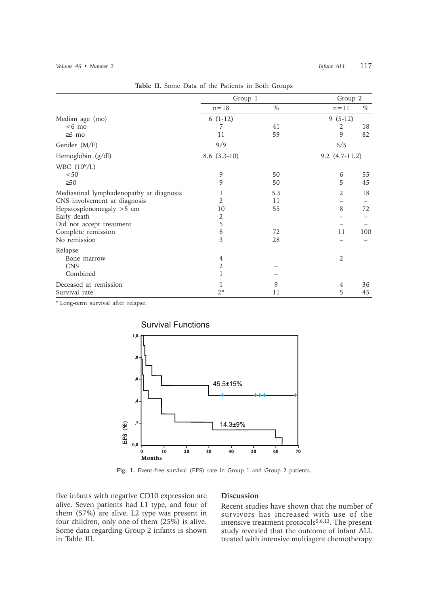|                                          | Group 1        |      | Group 2            |      |
|------------------------------------------|----------------|------|--------------------|------|
|                                          | $n = 18$       | $\%$ | $n = 11$           | $\%$ |
| Median age (mo)                          | $6(1-12)$      |      | $9(5-12)$          |      |
| $<6$ mo                                  | 7              | 41   | 2                  | 18   |
| $\geq 6$ mo                              | 11             | 59   | 9                  | 82   |
| Gender (M/F)                             | 9/9            |      | 6/5                |      |
| Hemoglobin (g/dl)                        | $8.6(3.3-10)$  |      | $9.2$ $(4.7-11.2)$ |      |
| WBC $(10^9/L)$                           |                |      |                    |      |
| < 50                                     | 9              | 50   | 6                  | 55   |
| $\geq 50$                                | 9              | 50   | 5                  | 45   |
| Mediastinal lymphadenopathy at diagnosis | 1              | 5.5  | 2                  | 18   |
| CNS involvement at diagnosis             | $\mathfrak{D}$ | 11   |                    |      |
| Hepatosplenomegaly >5 cm                 | 10             | 55   | 8                  | 72   |
| Early death                              | 2              |      |                    |      |
| Did not accept treatment                 | $\mathbf 5$    |      |                    |      |
| Complete remission                       | $\,$ 8 $\,$    | 72   | 11                 | 100  |
| No remission                             | 3              | 28   |                    |      |
| Relapse                                  |                |      |                    |      |
| Bone marrow                              | 4              |      | $\overline{2}$     |      |
| <b>CNS</b>                               | 2              |      |                    |      |
| Combined                                 | 1              |      |                    |      |
| Deceased at remission                    | 1              | 9    | 4                  | 36   |
| Survival rate                            | $2*$           | 11   | 5                  | 45   |

**Table II.** Some Data of the Patients in Both Groups

\* Long-term survival after relapse.



**Fig. 1.** Event-free survival (EFS) rate in Group 1 and Group 2 patients.

five infants with negative CD10 expression are alive. Seven patients had L1 type, and four of them (57%) are alive. L2 type was present in four children, only one of them (25%) is alive. Some data regarding Group 2 infants is shown in Table III.

### **Discussion**

Recent studies have shown that the number of survivors has increased with use of the intensive treatment protocols5,6,13. The present study revealed that the outcome of infant ALL treated with intensive multiagent chemotherapy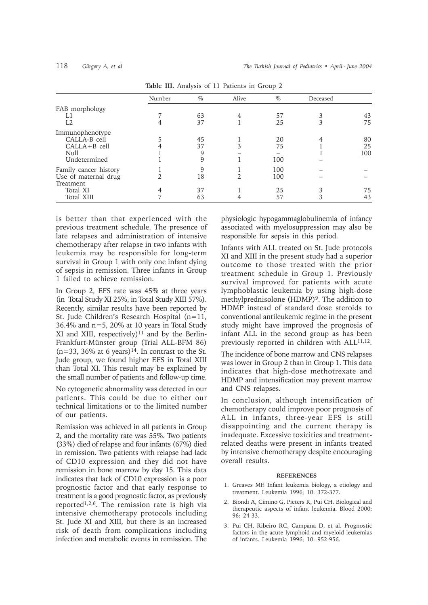|                       | Number | $\%$ | Alive | $\%$ | Deceased |     |
|-----------------------|--------|------|-------|------|----------|-----|
| FAB morphology        |        |      |       |      |          |     |
|                       |        | 63   | 4     | 57   | 3        | 43  |
| L2                    | 4      | 37   |       | 25   | 3        | 75  |
| Immunophenotype       |        |      |       |      |          |     |
| CALLA-B cell          |        | 45   |       | 20   |          | 80  |
| $CALLA + B$ cell      |        | 37   |       | 75   |          | 25  |
| Null                  |        | 9    |       |      |          | 100 |
| Undetermined          |        | 9    |       | 100  |          |     |
| Family cancer history |        | 9    |       | 100  |          |     |
| Use of maternal drug  |        | 18   |       | 100  |          |     |
| Treatment             |        |      |       |      |          |     |
| Total XI              |        | 37   |       | 25   | 3        | 75  |
| <b>Total XIII</b>     |        | 63   |       | 57   | 3        | 43  |

**Table III.** Analysis of 11 Patients in Group 2

is better than that experienced with the previous treatment schedule. The presence of late relapses and administration of intensive chemotherapy after relapse in two infants with leukemia may be responsible for long-term survival in Group 1 with only one infant dying of sepsis in remission. Three infants in Group 1 failed to achieve remission.

In Group 2, EFS rate was 45% at three years (in Total Study XI 25%, in Total Study XIII 57%). Recently, similar results have been reported by St. Jude Children's Research Hospital (n=11, 36.4% and n=5, 20% at 10 years in Total Study XI and XIII, respectively)<sup>11</sup> and by the Berlin-Frankfurt-Münster group (Trial ALL-BFM 86)  $(n=33, 36\%$  at 6 years)<sup>14</sup>. In contrast to the St. Jude group, we found higher EFS in Total XIII than Total XI. This result may be explained by the small number of patients and follow-up time.

No cytogenetic abnormality was detected in our patients. This could be due to either our technical limitations or to the limited number of our patients.

Remission was achieved in all patients in Group 2, and the mortality rate was 55%. Two patients (33%) died of relapse and four infants (67%) died in remission. Two patients with relapse had lack of CD10 expression and they did not have remission in bone marrow by day 15. This data indicates that lack of CD10 expression is a poor prognostic factor and that early response to treatment is a good prognostic factor, as previously reported1,2,6. The remission rate is high via intensive chemotherapy protocols including St. Jude XI and XIII, but there is an increased risk of death from complications including infection and metabolic events in remission. The

physiologic hypogammaglobulinemia of infancy associated with myelosuppression may also be responsible for sepsis in this period.

Infants with ALL treated on St. Jude protocols XI and XIII in the present study had a superior outcome to those treated with the prior treatment schedule in Group 1. Previously survival improved for patients with acute lymphoblastic leukemia by using high-dose methylprednisolone (HDMP)<sup>9</sup>. The addition to HDMP instead of standard dose steroids to conventional antileukemic regime in the present study might have improved the prognosis of infant ALL in the second group as has been previously reported in children with ALL<sup>11,12</sup>.

The incidence of bone marrow and CNS relapses was lower in Group 2 than in Group 1. This data indicates that high-dose methotrexate and HDMP and intensification may prevent marrow and CNS relapses.

In conclusion, although intensification of chemotherapy could improve poor prognosis of ALL in infants, three-year EFS is still disappointing and the current therapy is inadequate. Excessive toxicities and treatmentrelated deaths were present in infants treated by intensive chemotherapy despite encouraging overall results.

#### **REFERENCES**

- 1. Greaves MF. Infant leukemia biology, a etiology and treatment. Leukemia 1996; 10: 372-377.
- 2. Biondi A, Cimino G, Pieters R, Pui CH. Biological and therapeutic aspects of infant leukemia. Blood 2000; 96: 24-33.
- 3. Pui CH, Ribeiro RC, Campana D, et al. Prognostic factors in the acute lymphoid and myeloid leukemias of infants. Leukemia 1996; 10: 952-956.